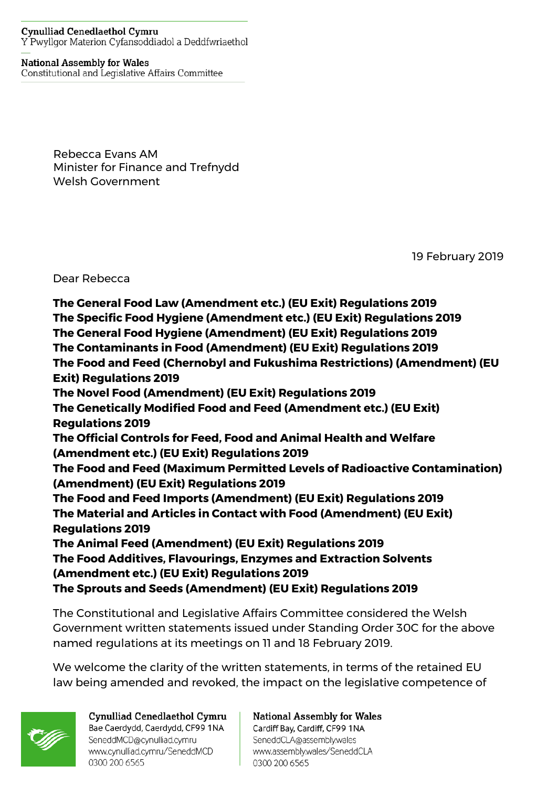## **Cynulliad Cenedlaethol Cymru** Y Pwyllgor Materion Cyfansoddiadol a Deddfwriaethol

## **National Assembly for Wales**

Constitutional and Legislative Affairs Committee

Rebecca Evans AM Minister for Finance and Trefnydd Welsh Government

19 February 2019

Dear Rebecca

**The General Food Law (Amendment etc.) (EU Exit) Regulations 2019 The Specific Food Hygiene (Amendment etc.) (EU Exit) Regulations 2019 The General Food Hygiene (Amendment) (EU Exit) Regulations 2019 The Contaminants in Food (Amendment) (EU Exit) Regulations 2019 The Food and Feed (Chernobyl and Fukushima Restrictions) (Amendment) (EU Exit) Regulations 2019 The Novel Food (Amendment) (EU Exit) Regulations 2019 The Genetically Modified Food and Feed (Amendment etc.) (EU Exit) Regulations 2019 The Official Controls for Feed, Food and Animal Health and Welfare (Amendment etc.) (EU Exit) Regulations 2019 The Food and Feed (Maximum Permitted Levels of Radioactive Contamination) (Amendment) (EU Exit) Regulations 2019 The Food and Feed Imports (Amendment) (EU Exit) Regulations 2019 The Material and Articles in Contact with Food (Amendment) (EU Exit) Regulations 2019 The Animal Feed (Amendment) (EU Exit) Regulations 2019 The Food Additives, Flavourings, Enzymes and Extraction Solvents (Amendment etc.) (EU Exit) Regulations 2019 The Sprouts and Seeds (Amendment) (EU Exit) Regulations 2019**

The Constitutional and Legislative Affairs Committee considered the Welsh Government written statements issued under Standing Order 30C for the above named regulations at its meetings on 11 and 18 February 2019.

We welcome the clarity of the written statements, in terms of the retained EU law being amended and revoked, the impact on the legislative competence of



Cynulliad Cenedlaethol Cymru Bae Caerdydd, Caerdydd, CF99 1NA SeneddMCD@cynulliad.cymru www.cynulliad.cymru/SeneddMCD 0300 200 6565

**National Assembly for Wales** Cardiff Bay, Cardiff, CF99 1NA SeneddCLA@assembly.wales www.assembly.wales/SeneddCLA 0300 200 6565